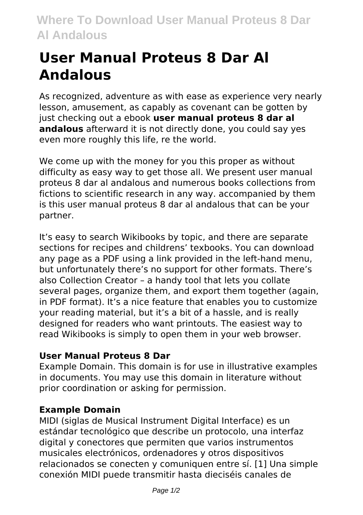## **User Manual Proteus 8 Dar Al Andalous**

As recognized, adventure as with ease as experience very nearly lesson, amusement, as capably as covenant can be gotten by just checking out a ebook **user manual proteus 8 dar al andalous** afterward it is not directly done, you could say yes even more roughly this life, re the world.

We come up with the money for you this proper as without difficulty as easy way to get those all. We present user manual proteus 8 dar al andalous and numerous books collections from fictions to scientific research in any way. accompanied by them is this user manual proteus 8 dar al andalous that can be your partner.

It's easy to search Wikibooks by topic, and there are separate sections for recipes and childrens' texbooks. You can download any page as a PDF using a link provided in the left-hand menu, but unfortunately there's no support for other formats. There's also Collection Creator – a handy tool that lets you collate several pages, organize them, and export them together (again, in PDF format). It's a nice feature that enables you to customize your reading material, but it's a bit of a hassle, and is really designed for readers who want printouts. The easiest way to read Wikibooks is simply to open them in your web browser.

## **User Manual Proteus 8 Dar**

Example Domain. This domain is for use in illustrative examples in documents. You may use this domain in literature without prior coordination or asking for permission.

## **Example Domain**

MIDI (siglas de Musical Instrument Digital Interface) es un estándar tecnológico que describe un protocolo, una interfaz digital y conectores que permiten que varios instrumentos musicales electrónicos, ordenadores y otros dispositivos relacionados se conecten y comuniquen entre sí. [1] Una simple conexión MIDI puede transmitir hasta dieciséis canales de